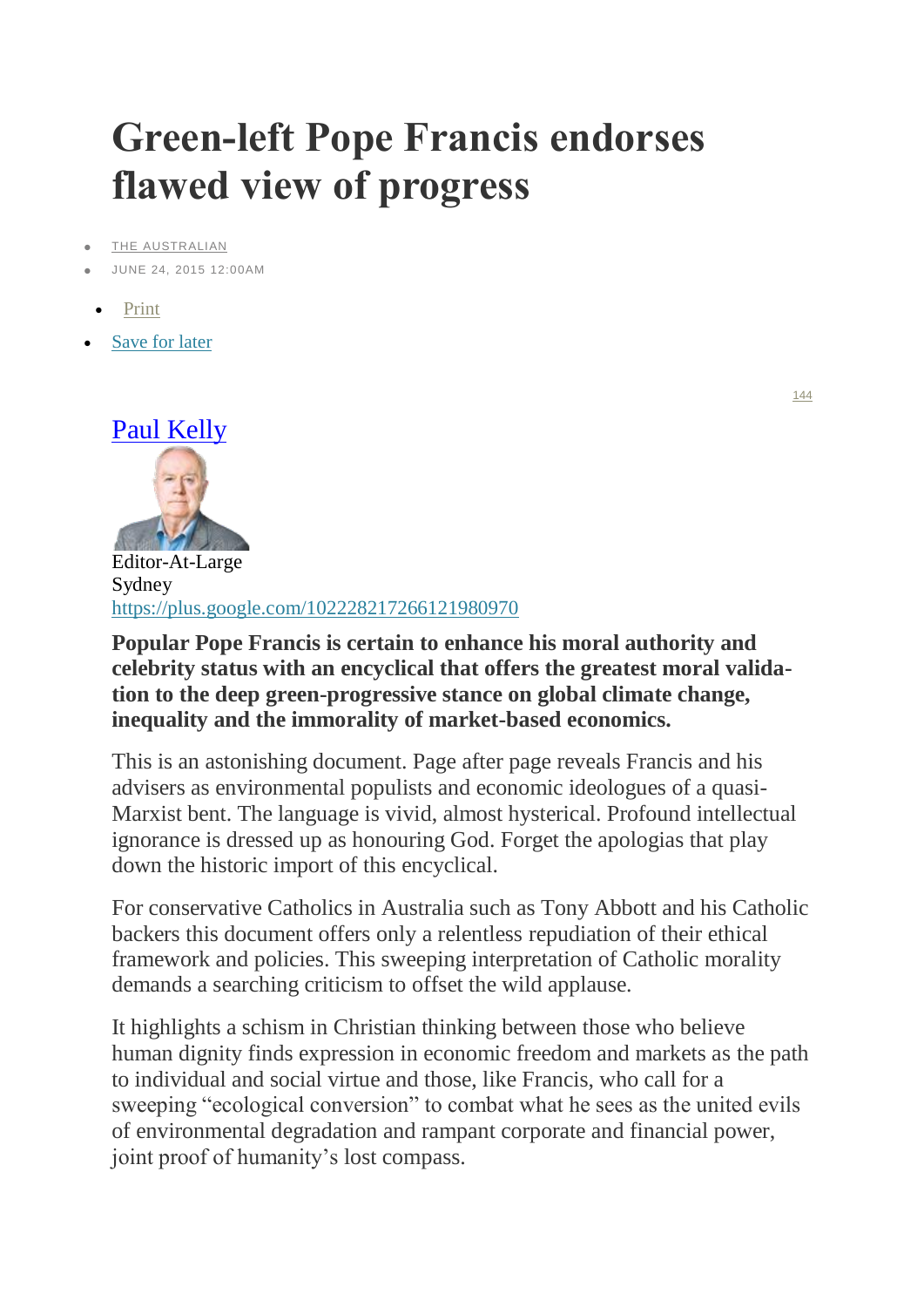## **Green-left Pope Francis endorses flawed view of progress**

[THE AUSTRALIAN](http://www.theaustralian.com.au/)

- JUNE 24, 2015 12:00AM
- [Print](http://www.theaustralian.com.au/help/print/)
- [Save for later](http://www.theaustralian.com.au/opinion/columnists/green-left-pope-francis-endorses-flawed-view-of-progress/story-e6frg74x-1227411655636)



Editor-At-Large Sydney <https://plus.google.com/102228217266121980970>

**Popular Pope Francis is certain to enhance his moral authority and celebrity status with an encyclical that offers the greatest moral validation to the deep green-progressive stance on global climate change, inequality and the immorality of market-based economics.**

This is an astonishing document. Page after page reveals Francis and his advisers as environmental populists and economic ideologues of a quasi-Marxist bent. The language is vivid, almost hysterical. Profound intellectual ignorance is dressed up as honouring God. Forget the apologias that play down the historic import of this encyclical.

For conservative Catholics in Australia such as Tony Abbott and his Catholic backers this document offers only a relentless repudiation of their ethical framework and policies. This sweeping interpretation of Catholic morality demands a searching criticism to offset the wild applause.

It highlights a schism in Christian thinking between those who believe human dignity finds expression in economic freedom and markets as the path to individual and social virtue and those, like Francis, who call for a sweeping "ecological conversion" to combat what he sees as the united evils of environmental degradation and rampant corporate and financial power, joint proof of humanity's lost compass.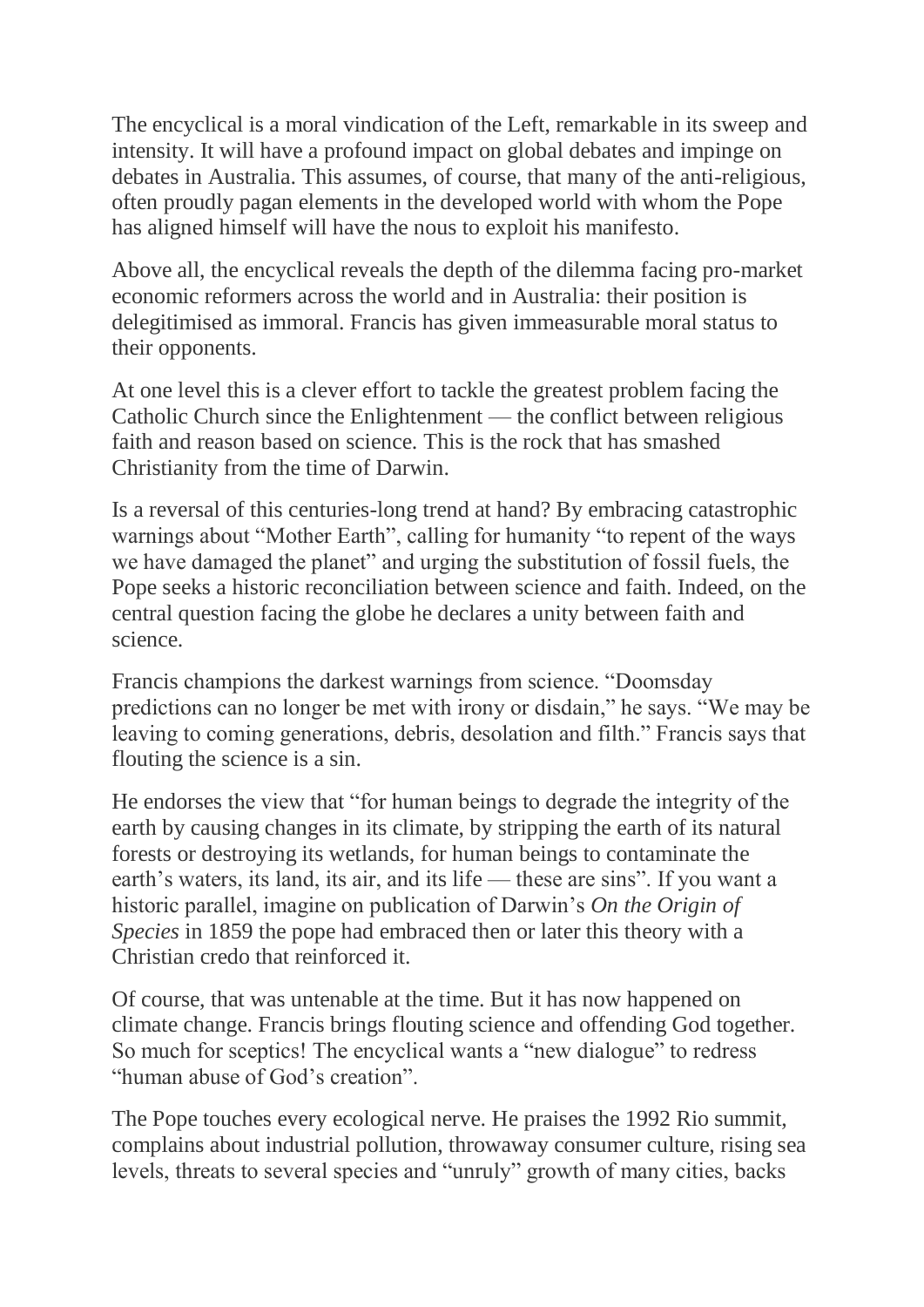The encyclical is a moral vindication of the Left, remarkable in its sweep and intensity. It will have a profound impact on global debates and impinge on debates in Australia. This assumes, of course, that many of the anti-religious, often proudly pagan elements in the developed world with whom the Pope has aligned himself will have the nous to exploit his manifesto.

Above all, the encyclical reveals the depth of the dilemma facing pro-market economic reformers across the world and in Australia: their position is delegitimised as immoral. Francis has given immeasurable moral status to their opponents.

At one level this is a clever effort to tackle the greatest problem facing the Catholic Church since the Enlightenment — the conflict between religious faith and reason based on science. This is the rock that has smashed Christianity from the time of Darwin.

Is a reversal of this centuries-long trend at hand? By embracing catastrophic warnings about "Mother Earth", calling for humanity "to repent of the ways we have damaged the planet" and urging the substitution of fossil fuels, the Pope seeks a historic reconciliation between science and faith. Indeed, on the central question facing the globe he declares a unity between faith and science.

Francis champions the darkest warnings from science. "Doomsday predictions can no longer be met with irony or disdain," he says. "We may be leaving to coming generations, debris, desolation and filth." Francis says that flouting the science is a sin.

He endorses the view that "for human beings to degrade the integrity of the earth by causing changes in its climate, by stripping the earth of its natural forests or destroying its wetlands, for human beings to contaminate the earth's waters, its land, its air, and its life — these are sins". If you want a historic parallel, imagine on publication of Darwin's *On the Origin of Species* in 1859 the pope had embraced then or later this theory with a Christian credo that reinforced it.

Of course, that was untenable at the time. But it has now happened on climate change. Francis brings flouting science and offending God together. So much for sceptics! The encyclical wants a "new dialogue" to redress "human abuse of God's creation".

The Pope touches every ecological nerve. He praises the 1992 Rio summit, complains about industrial pollution, throwaway consumer culture, rising sea levels, threats to several species and "unruly" growth of many cities, backs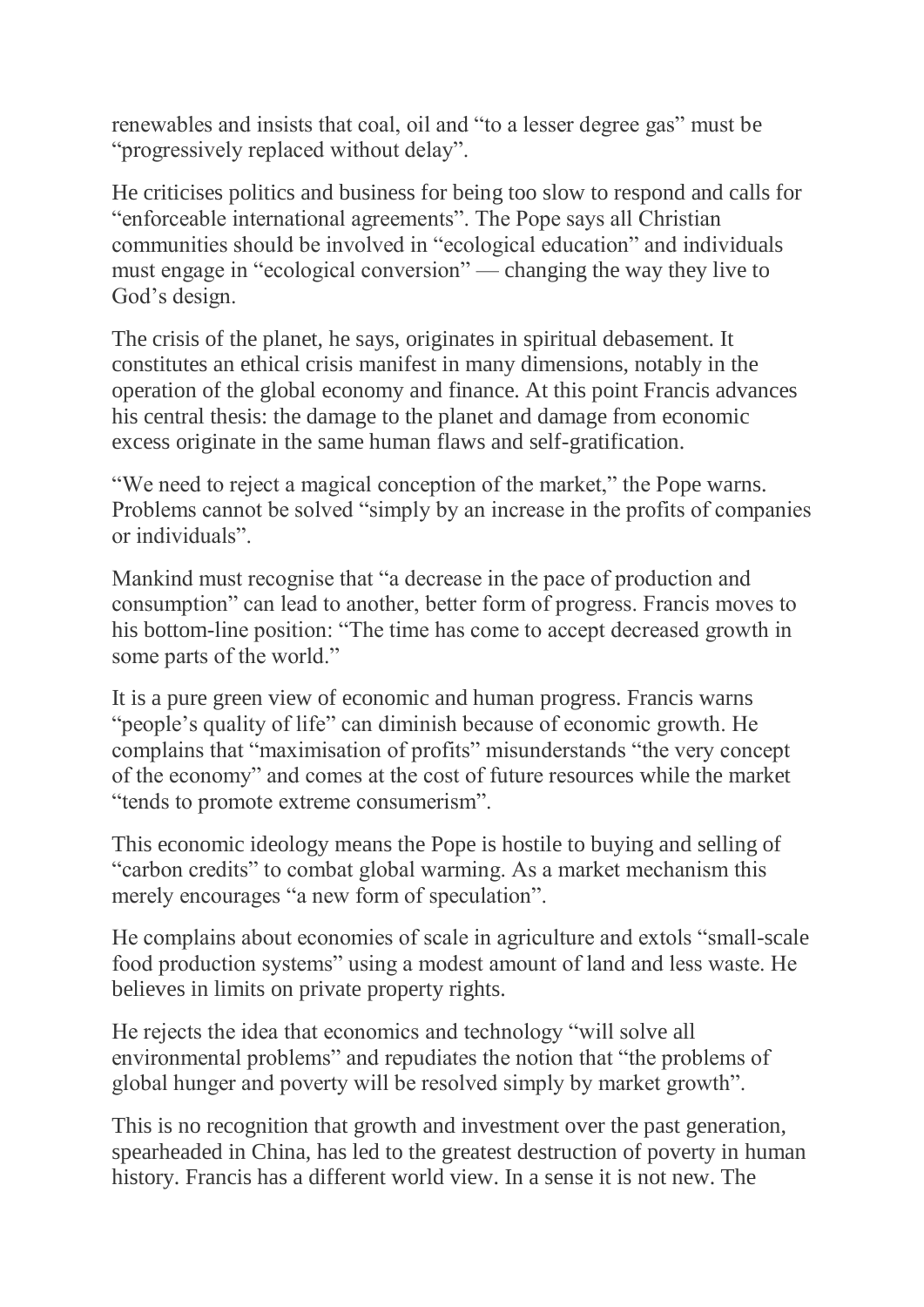renewables and insists that coal, oil and "to a lesser degree gas" must be "progressively replaced without delay".

He criticises politics and business for being too slow to respond and calls for "enforceable international agreements". The Pope says all Christian communities should be involved in "ecological education" and individuals must engage in "ecological conversion" — changing the way they live to God's design.

The crisis of the planet, he says, originates in spiritual debasement. It constitutes an ethical crisis manifest in many dimensions, notably in the operation of the global economy and finance. At this point Francis advances his central thesis: the damage to the planet and damage from economic excess originate in the same human flaws and self-gratification.

"We need to reject a magical conception of the market," the Pope warns. Problems cannot be solved "simply by an increase in the profits of companies or individuals".

Mankind must recognise that "a decrease in the pace of production and consumption" can lead to another, better form of progress. Francis moves to his bottom-line position: "The time has come to accept decreased growth in some parts of the world."

It is a pure green view of economic and human progress. Francis warns "people's quality of life" can diminish because of economic growth. He complains that "maximisation of profits" misunderstands "the very concept of the economy" and comes at the cost of future resources while the market "tends to promote extreme consumerism".

This economic ideology means the Pope is hostile to buying and selling of "carbon credits" to combat global warming. As a market mechanism this merely encourages "a new form of speculation".

He complains about economies of scale in agriculture and extols "small-scale food production systems" using a modest amount of land and less waste. He believes in limits on private property rights.

He rejects the idea that economics and technology "will solve all environmental problems" and repudiates the notion that "the problems of global hunger and poverty will be resolved simply by market growth".

This is no recognition that growth and investment over the past generation, spearheaded in China, has led to the greatest destruction of poverty in human history. Francis has a different world view. In a sense it is not new. The